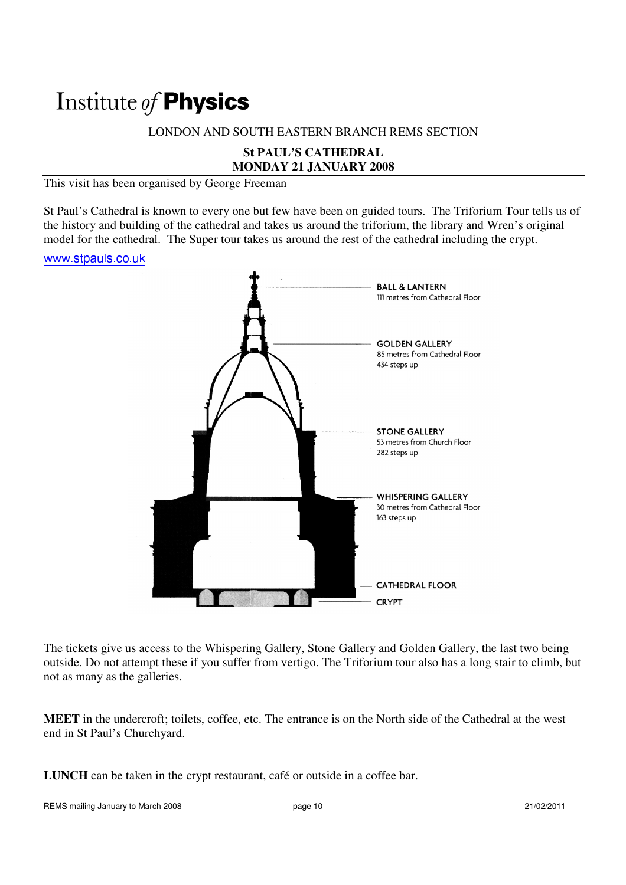# Institute of Physics

## LONDON AND SOUTH EASTERN BRANCH REMS SECTION

# **St PAUL'S CATHEDRAL MONDAY 21 JANUARY 2008**

This visit has been organised by George Freeman

St Paul's Cathedral is known to every one but few have been on guided tours. The Triforium Tour tells us of the history and building of the cathedral and takes us around the triforium, the library and Wren's original model for the cathedral. The Super tour takes us around the rest of the cathedral including the crypt.

#### www.stpauls.co.uk



The tickets give us access to the Whispering Gallery, Stone Gallery and Golden Gallery, the last two being outside. Do not attempt these if you suffer from vertigo. The Triforium tour also has a long stair to climb, but not as many as the galleries.

**MEET** in the undercroft; toilets, coffee, etc. The entrance is on the North side of the Cathedral at the west end in St Paul's Churchyard.

**LUNCH** can be taken in the crypt restaurant, café or outside in a coffee bar.